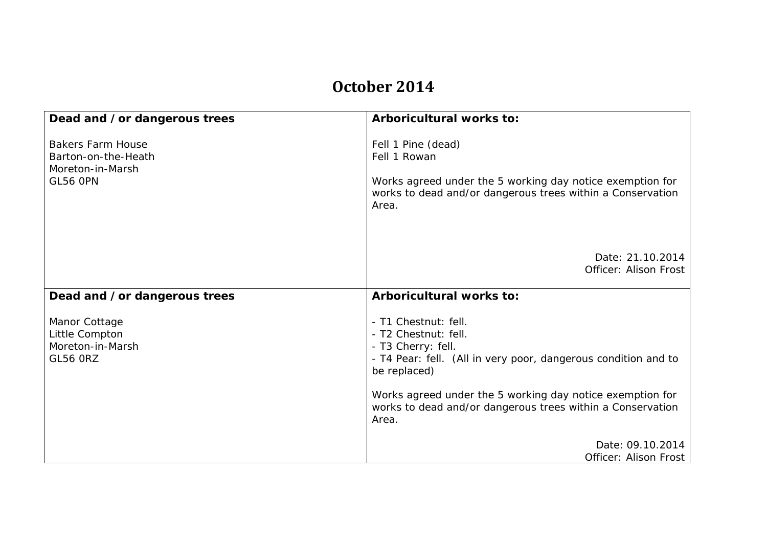## **October 2014**

| Dead and /or dangerous trees                                                           | Arboricultural works to:                                                                                                                                                                                                                                                                 |
|----------------------------------------------------------------------------------------|------------------------------------------------------------------------------------------------------------------------------------------------------------------------------------------------------------------------------------------------------------------------------------------|
| <b>Bakers Farm House</b><br>Barton-on-the-Heath<br>Moreton-in-Marsh<br><b>GL56 OPN</b> | Fell 1 Pine (dead)<br>Fell 1 Rowan<br>Works agreed under the 5 working day notice exemption for<br>works to dead and/or dangerous trees within a Conservation<br>Area.                                                                                                                   |
|                                                                                        | Date: 21.10.2014<br>Officer: Alison Frost                                                                                                                                                                                                                                                |
| Dead and /or dangerous trees                                                           | Arboricultural works to:                                                                                                                                                                                                                                                                 |
| Manor Cottage<br>Little Compton<br>Moreton-in-Marsh<br><b>GL56 ORZ</b>                 | - T1 Chestnut: fell.<br>- T2 Chestnut: fell.<br>- T3 Cherry: fell.<br>- T4 Pear: fell. (All in very poor, dangerous condition and to<br>be replaced)<br>Works agreed under the 5 working day notice exemption for<br>works to dead and/or dangerous trees within a Conservation<br>Area. |
|                                                                                        | Date: 09.10.2014<br>Officer: Alison Frost                                                                                                                                                                                                                                                |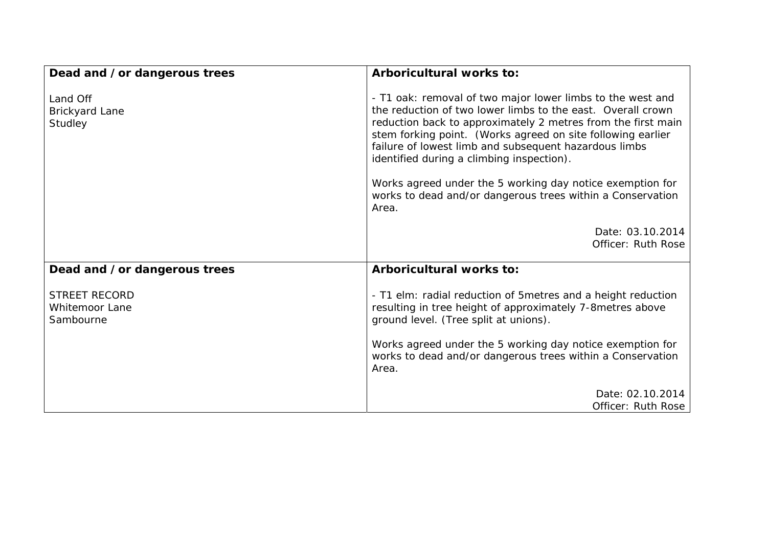| Dead and /or dangerous trees                               | Arboricultural works to:                                                                                                                                                                                                                                                                                                                                                                                                    |
|------------------------------------------------------------|-----------------------------------------------------------------------------------------------------------------------------------------------------------------------------------------------------------------------------------------------------------------------------------------------------------------------------------------------------------------------------------------------------------------------------|
| Land Off<br><b>Brickyard Lane</b><br>Studley               | - T1 oak: removal of two major lower limbs to the west and<br>the reduction of two lower limbs to the east. Overall crown<br>reduction back to approximately 2 metres from the first main<br>stem forking point. (Works agreed on site following earlier<br>failure of lowest limb and subsequent hazardous limbs<br>identified during a climbing inspection).<br>Works agreed under the 5 working day notice exemption for |
|                                                            | works to dead and/or dangerous trees within a Conservation<br>Area.                                                                                                                                                                                                                                                                                                                                                         |
|                                                            | Date: 03.10.2014<br>Officer: Ruth Rose                                                                                                                                                                                                                                                                                                                                                                                      |
| Dead and /or dangerous trees                               | Arboricultural works to:                                                                                                                                                                                                                                                                                                                                                                                                    |
| <b>STREET RECORD</b><br><b>Whitemoor Lane</b><br>Sambourne | - T1 elm: radial reduction of 5 metres and a height reduction<br>resulting in tree height of approximately 7-8 metres above<br>ground level. (Tree split at unions).                                                                                                                                                                                                                                                        |
|                                                            | Works agreed under the 5 working day notice exemption for<br>works to dead and/or dangerous trees within a Conservation<br>Area.                                                                                                                                                                                                                                                                                            |
|                                                            | Date: 02.10.2014<br>Officer: Ruth Rose                                                                                                                                                                                                                                                                                                                                                                                      |